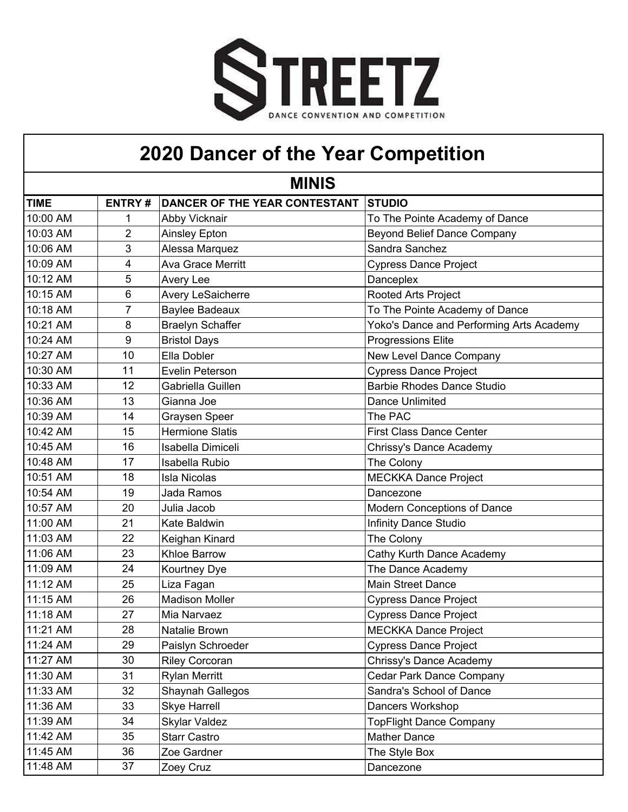

## **2020 Dancer of the Year Competition**

| <b>MINIS</b> |                |                               |                                          |
|--------------|----------------|-------------------------------|------------------------------------------|
| <b>TIME</b>  | <b>ENTRY#</b>  | DANCER OF THE YEAR CONTESTANT | <b>STUDIO</b>                            |
| 10:00 AM     |                | Abby Vicknair                 | To The Pointe Academy of Dance           |
| 10:03 AM     | 2              | Ainsley Epton                 | <b>Beyond Belief Dance Company</b>       |
| 10:06 AM     | 3              | Alessa Marquez                | Sandra Sanchez                           |
| 10:09 AM     | 4              | <b>Ava Grace Merritt</b>      | <b>Cypress Dance Project</b>             |
| 10:12 AM     | 5              | Avery Lee                     | Danceplex                                |
| 10:15 AM     | 6              | Avery LeSaicherre             | Rooted Arts Project                      |
| 10:18 AM     | $\overline{7}$ | <b>Baylee Badeaux</b>         | To The Pointe Academy of Dance           |
| 10:21 AM     | 8              | <b>Braelyn Schaffer</b>       | Yoko's Dance and Performing Arts Academy |
| 10:24 AM     | 9              | <b>Bristol Days</b>           | <b>Progressions Elite</b>                |
| 10:27 AM     | 10             | Ella Dobler                   | New Level Dance Company                  |
| 10:30 AM     | 11             | Evelin Peterson               | <b>Cypress Dance Project</b>             |
| 10:33 AM     | 12             | Gabriella Guillen             | <b>Barbie Rhodes Dance Studio</b>        |
| 10:36 AM     | 13             | Gianna Joe                    | Dance Unlimited                          |
| 10:39 AM     | 14             | <b>Graysen Speer</b>          | The PAC                                  |
| 10:42 AM     | 15             | <b>Hermione Slatis</b>        | <b>First Class Dance Center</b>          |
| 10:45 AM     | 16             | Isabella Dimiceli             | Chrissy's Dance Academy                  |
| 10:48 AM     | 17             | Isabella Rubio                | The Colony                               |
| 10:51 AM     | 18             | <b>Isla Nicolas</b>           | <b>MECKKA Dance Project</b>              |
| 10:54 AM     | 19             | Jada Ramos                    | Dancezone                                |
| 10:57 AM     | 20             | Julia Jacob                   | Modern Conceptions of Dance              |
| 11:00 AM     | 21             | Kate Baldwin                  | <b>Infinity Dance Studio</b>             |
| 11:03 AM     | 22             | Keighan Kinard                | The Colony                               |
| 11:06 AM     | 23             | <b>Khloe Barrow</b>           | Cathy Kurth Dance Academy                |
| 11:09 AM     | 24             | Kourtney Dye                  | The Dance Academy                        |
| 11:12 AM     | 25             | Liza Fagan                    | <b>Main Street Dance</b>                 |
| 11:15 AM     | 26             | <b>Madison Moller</b>         | <b>Cypress Dance Project</b>             |
| 11:18 AM     | 27             | Mia Narvaez                   | <b>Cypress Dance Project</b>             |
| 11:21 AM     | 28             | Natalie Brown                 | <b>MECKKA Dance Project</b>              |
| 11:24 AM     | 29             | Paislyn Schroeder             | <b>Cypress Dance Project</b>             |
| 11:27 AM     | 30             | <b>Riley Corcoran</b>         | Chrissy's Dance Academy                  |
| 11:30 AM     | 31             | <b>Rylan Merritt</b>          | <b>Cedar Park Dance Company</b>          |
| 11:33 AM     | 32             | Shaynah Gallegos              | Sandra's School of Dance                 |
| 11:36 AM     | 33             | <b>Skye Harrell</b>           | Dancers Workshop                         |
| 11:39 AM     | 34             | <b>Skylar Valdez</b>          | <b>TopFlight Dance Company</b>           |
| 11:42 AM     | 35             | <b>Starr Castro</b>           | <b>Mather Dance</b>                      |
| 11:45 AM     | 36             | Zoe Gardner                   | The Style Box                            |
| 11:48 AM     | 37             | Zoey Cruz                     | Dancezone                                |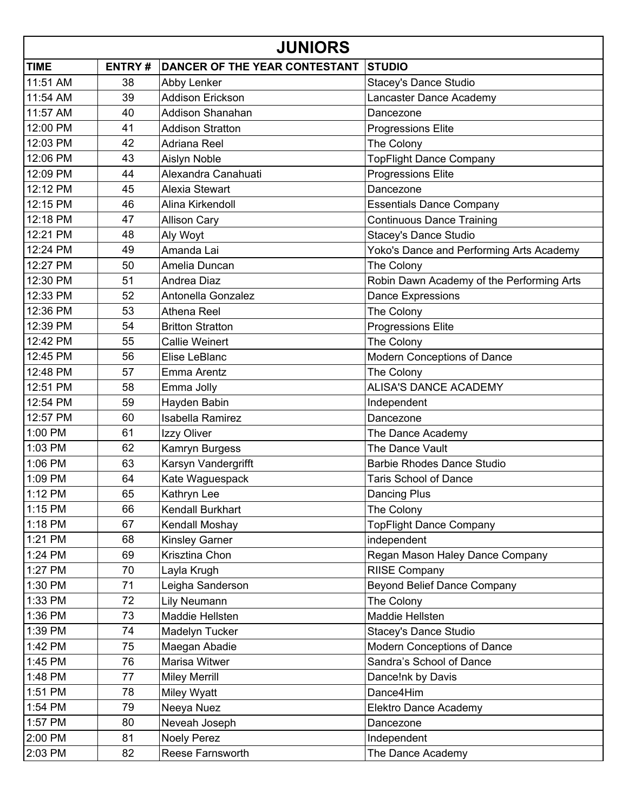| <b>JUNIORS</b> |               |                               |                                           |
|----------------|---------------|-------------------------------|-------------------------------------------|
| <b>TIME</b>    | <b>ENTRY#</b> | DANCER OF THE YEAR CONTESTANT | <b>STUDIO</b>                             |
| 11:51 AM       | 38            | Abby Lenker                   | Stacey's Dance Studio                     |
| 11:54 AM       | 39            | <b>Addison Erickson</b>       | Lancaster Dance Academy                   |
| 11:57 AM       | 40            | <b>Addison Shanahan</b>       | Dancezone                                 |
| 12:00 PM       | 41            | <b>Addison Stratton</b>       | <b>Progressions Elite</b>                 |
| 12:03 PM       | 42            | Adriana Reel                  | The Colony                                |
| 12:06 PM       | 43            | Aislyn Noble                  | <b>TopFlight Dance Company</b>            |
| 12:09 PM       | 44            | Alexandra Canahuati           | <b>Progressions Elite</b>                 |
| 12:12 PM       | 45            | Alexia Stewart                | Dancezone                                 |
| 12:15 PM       | 46            | Alina Kirkendoll              | <b>Essentials Dance Company</b>           |
| 12:18 PM       | 47            | <b>Allison Cary</b>           | <b>Continuous Dance Training</b>          |
| 12:21 PM       | 48            | Aly Woyt                      | <b>Stacey's Dance Studio</b>              |
| 12:24 PM       | 49            | Amanda Lai                    | Yoko's Dance and Performing Arts Academy  |
| 12:27 PM       | 50            | Amelia Duncan                 | The Colony                                |
| 12:30 PM       | 51            | Andrea Diaz                   | Robin Dawn Academy of the Performing Arts |
| 12:33 PM       | 52            | Antonella Gonzalez            | Dance Expressions                         |
| 12:36 PM       | 53            | Athena Reel                   | The Colony                                |
| 12:39 PM       | 54            | <b>Britton Stratton</b>       | <b>Progressions Elite</b>                 |
| 12:42 PM       | 55            | <b>Callie Weinert</b>         | The Colony                                |
| 12:45 PM       | 56            | Elise LeBlanc                 | Modern Conceptions of Dance               |
| 12:48 PM       | 57            | Emma Arentz                   | The Colony                                |
| 12:51 PM       | 58            | Emma Jolly                    | <b>ALISA'S DANCE ACADEMY</b>              |
| 12:54 PM       | 59            | Hayden Babin                  | Independent                               |
| 12:57 PM       | 60            | <b>Isabella Ramirez</b>       | Dancezone                                 |
| 1:00 PM        | 61            | Izzy Oliver                   | The Dance Academy                         |
| 1:03 PM        | 62            | Kamryn Burgess                | The Dance Vault                           |
| 1:06 PM        | 63            | Karsyn Vandergrifft           | <b>Barbie Rhodes Dance Studio</b>         |
| 1:09 PM        | 64            | Kate Waguespack               | <b>Taris School of Dance</b>              |
| 1:12 PM        | 65            | Kathryn Lee                   | Dancing Plus                              |
| 1:15 PM        | 66            | Kendall Burkhart              | The Colony                                |
| 1:18 PM        | 67            | Kendall Moshay                | <b>TopFlight Dance Company</b>            |
| 1:21 PM        | 68            | Kinsley Garner                | independent                               |
| 1:24 PM        | 69            | Krisztina Chon                | Regan Mason Haley Dance Company           |
| 1:27 PM        | 70            | Layla Krugh                   | <b>RIISE Company</b>                      |
| 1:30 PM        | 71            | Leigha Sanderson              | <b>Beyond Belief Dance Company</b>        |
| 1:33 PM        | 72            | Lily Neumann                  | The Colony                                |
| 1:36 PM        | 73            | Maddie Hellsten               | Maddie Hellsten                           |
| 1:39 PM        | 74            | Madelyn Tucker                | Stacey's Dance Studio                     |
| 1:42 PM        | 75            | Maegan Abadie                 | Modern Conceptions of Dance               |
| 1:45 PM        | 76            | Marisa Witwer                 | Sandra's School of Dance                  |
| 1:48 PM        | 77            | <b>Miley Merrill</b>          | Dance!nk by Davis                         |
| 1:51 PM        | 78            | Miley Wyatt                   | Dance4Him                                 |
| 1:54 PM        | 79            | Neeya Nuez                    | Elektro Dance Academy                     |
| 1:57 PM        | 80            | Neveah Joseph                 | Dancezone                                 |
| 2:00 PM        | 81            | <b>Noely Perez</b>            | Independent                               |
| 2:03 PM        | 82            | <b>Reese Farnsworth</b>       | The Dance Academy                         |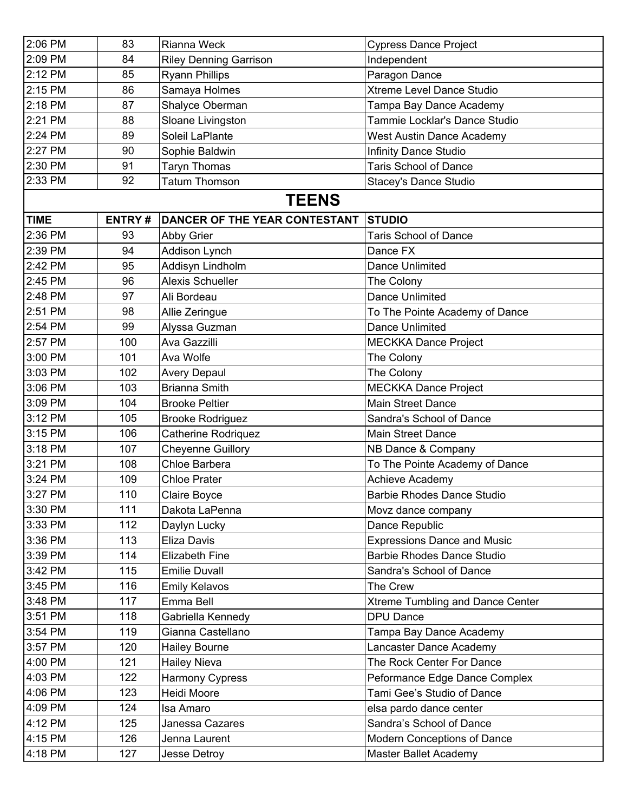| 2:06 PM     | 83            | Rianna Weck                   | <b>Cypress Dance Project</b>       |
|-------------|---------------|-------------------------------|------------------------------------|
| 2:09 PM     | 84            | <b>Riley Denning Garrison</b> | Independent                        |
| 2:12 PM     | 85            | <b>Ryann Phillips</b>         | Paragon Dance                      |
| 2:15 PM     | 86            | Samaya Holmes                 | Xtreme Level Dance Studio          |
| 2:18 PM     | 87            | Shalyce Oberman               | Tampa Bay Dance Academy            |
| 2:21 PM     | 88            | Sloane Livingston             | Tammie Locklar's Dance Studio      |
| 2:24 PM     | 89            | Soleil LaPlante               | <b>West Austin Dance Academy</b>   |
| 2:27 PM     | 90            | Sophie Baldwin                | <b>Infinity Dance Studio</b>       |
| 2:30 PM     | 91            | <b>Taryn Thomas</b>           | <b>Taris School of Dance</b>       |
| 2:33 PM     | 92            | <b>Tatum Thomson</b>          | <b>Stacey's Dance Studio</b>       |
|             |               | <b>TEENS</b>                  |                                    |
| <b>TIME</b> | <b>ENTRY#</b> | DANCER OF THE YEAR CONTESTANT | <b>STUDIO</b>                      |
| 2:36 PM     | 93            | <b>Abby Grier</b>             | <b>Taris School of Dance</b>       |
| 2:39 PM     | 94            | Addison Lynch                 | Dance FX                           |
| 2:42 PM     | 95            | Addisyn Lindholm              | Dance Unlimited                    |
| 2:45 PM     | 96            | <b>Alexis Schueller</b>       | The Colony                         |
| 2:48 PM     | 97            | Ali Bordeau                   | Dance Unlimited                    |
| 2:51 PM     | 98            | Allie Zeringue                | To The Pointe Academy of Dance     |
| 2:54 PM     | 99            | Alyssa Guzman                 | Dance Unlimited                    |
| 2:57 PM     | 100           | Ava Gazzilli                  | <b>MECKKA Dance Project</b>        |
| 3:00 PM     | 101           | Ava Wolfe                     | The Colony                         |
| 3:03 PM     | 102           | Avery Depaul                  | The Colony                         |
| 3:06 PM     | 103           | <b>Brianna Smith</b>          | <b>MECKKA Dance Project</b>        |
| 3:09 PM     | 104           | <b>Brooke Peltier</b>         | <b>Main Street Dance</b>           |
| 3:12 PM     | 105           | <b>Brooke Rodriguez</b>       | Sandra's School of Dance           |
| 3:15 PM     | 106           | <b>Catherine Rodriquez</b>    | <b>Main Street Dance</b>           |
| 3:18 PM     | 107           | <b>Cheyenne Guillory</b>      | NB Dance & Company                 |
| 3:21 PM     | 108           | Chloe Barbera                 | To The Pointe Academy of Dance     |
| 3:24 PM     | 109           | <b>Chloe Prater</b>           | <b>Achieve Academy</b>             |
| 3:27 PM     | 110           | Claire Boyce                  | <b>Barbie Rhodes Dance Studio</b>  |
| 3:30 PM     | 111           | Dakota LaPenna                | Movz dance company                 |
| 3:33 PM     | 112           | Daylyn Lucky                  | Dance Republic                     |
| 3:36 PM     | 113           | Eliza Davis                   | <b>Expressions Dance and Music</b> |
| 3:39 PM     | 114           | <b>Elizabeth Fine</b>         | <b>Barbie Rhodes Dance Studio</b>  |
| 3:42 PM     | 115           | <b>Emilie Duvall</b>          | Sandra's School of Dance           |
| 3:45 PM     | 116           | <b>Emily Kelavos</b>          | The Crew                           |
| 3:48 PM     | 117           | Emma Bell                     | Xtreme Tumbling and Dance Center   |
| 3:51 PM     | 118           | Gabriella Kennedy             | <b>DPU Dance</b>                   |
| 3:54 PM     | 119           | Gianna Castellano             | Tampa Bay Dance Academy            |
| 3:57 PM     | 120           | <b>Hailey Bourne</b>          | Lancaster Dance Academy            |
| 4:00 PM     | 121           | <b>Hailey Nieva</b>           | The Rock Center For Dance          |
| 4:03 PM     | 122           | Harmony Cypress               | Peformance Edge Dance Complex      |
| 4:06 PM     | 123           | Heidi Moore                   | Tami Gee's Studio of Dance         |
| 4:09 PM     | 124           | Isa Amaro                     | elsa pardo dance center            |
| 4:12 PM     | 125           | Janessa Cazares               | Sandra's School of Dance           |
| 4:15 PM     | 126           | Jenna Laurent                 | Modern Conceptions of Dance        |
| 4:18 PM     | 127           | Jesse Detroy                  | Master Ballet Academy              |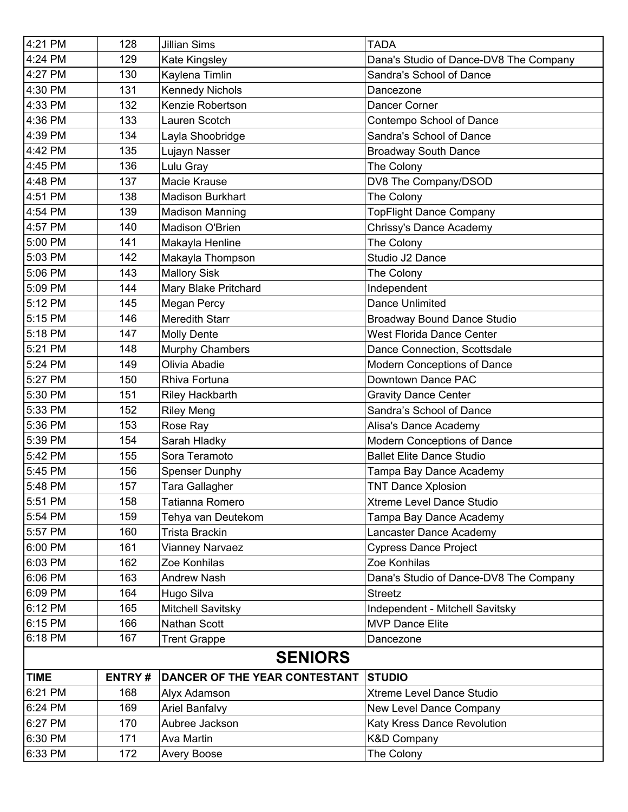| 4:21 PM        | 128           | <b>Jillian Sims</b>           | <b>TADA</b>                            |
|----------------|---------------|-------------------------------|----------------------------------------|
| 4:24 PM        | 129           | Kate Kingsley                 | Dana's Studio of Dance-DV8 The Company |
| 4:27 PM        | 130           | Kaylena Timlin                | Sandra's School of Dance               |
| 4:30 PM        | 131           | <b>Kennedy Nichols</b>        | Dancezone                              |
| 4:33 PM        | 132           | Kenzie Robertson              | Dancer Corner                          |
| 4:36 PM        | 133           | Lauren Scotch                 | Contempo School of Dance               |
| 4:39 PM        | 134           | Layla Shoobridge              | Sandra's School of Dance               |
| 4:42 PM        | 135           | Lujayn Nasser                 | <b>Broadway South Dance</b>            |
| 4:45 PM        | 136           | Lulu Gray                     | The Colony                             |
| 4:48 PM        | 137           | Macie Krause                  | DV8 The Company/DSOD                   |
| 4:51 PM        | 138           | <b>Madison Burkhart</b>       | The Colony                             |
| 4:54 PM        | 139           | <b>Madison Manning</b>        | <b>TopFlight Dance Company</b>         |
| 4:57 PM        | 140           | Madison O'Brien               | Chrissy's Dance Academy                |
| 5:00 PM        | 141           | Makayla Henline               | The Colony                             |
| 5:03 PM        | 142           | Makayla Thompson              | Studio J2 Dance                        |
| 5:06 PM        | 143           | <b>Mallory Sisk</b>           | The Colony                             |
| 5:09 PM        | 144           | Mary Blake Pritchard          | Independent                            |
| 5:12 PM        | 145           | Megan Percy                   | <b>Dance Unlimited</b>                 |
| 5:15 PM        | 146           | <b>Meredith Starr</b>         | <b>Broadway Bound Dance Studio</b>     |
| 5:18 PM        | 147           | Molly Dente                   | <b>West Florida Dance Center</b>       |
| 5:21 PM        | 148           | Murphy Chambers               | Dance Connection, Scottsdale           |
| 5:24 PM        | 149           | Olivia Abadie                 | Modern Conceptions of Dance            |
| 5:27 PM        | 150           | Rhiva Fortuna                 | Downtown Dance PAC                     |
| 5:30 PM        | 151           | Riley Hackbarth               | <b>Gravity Dance Center</b>            |
| 5:33 PM        | 152           | <b>Riley Meng</b>             | Sandra's School of Dance               |
| 5:36 PM        | 153           | Rose Ray                      | Alisa's Dance Academy                  |
| 5:39 PM        | 154           | Sarah Hladky                  | Modern Conceptions of Dance            |
| 5:42 PM        | 155           | Sora Teramoto                 | <b>Ballet Elite Dance Studio</b>       |
| 5:45 PM        | 156           | <b>Spenser Dunphy</b>         | Tampa Bay Dance Academy                |
| 5:48 PM        | 157           | Tara Gallagher                | <b>TNT Dance Xplosion</b>              |
| 5:51 PM        | 158           | Tatianna Romero               | Xtreme Level Dance Studio              |
| 5:54 PM        | 159           | Tehya van Deutekom            | Tampa Bay Dance Academy                |
| 5:57 PM        | 160           | Trista Brackin                | Lancaster Dance Academy                |
| 6:00 PM        | 161           | Vianney Narvaez               | <b>Cypress Dance Project</b>           |
| 6:03 PM        | 162           | Zoe Konhilas                  | Zoe Konhilas                           |
| 6:06 PM        | 163           | <b>Andrew Nash</b>            | Dana's Studio of Dance-DV8 The Company |
| 6:09 PM        | 164           | Hugo Silva                    | <b>Streetz</b>                         |
| 6:12 PM        | 165           | Mitchell Savitsky             | Independent - Mitchell Savitsky        |
| 6:15 PM        | 166           | Nathan Scott                  | <b>MVP Dance Elite</b>                 |
| 6:18 PM        | 167           | <b>Trent Grappe</b>           | Dancezone                              |
| <b>SENIORS</b> |               |                               |                                        |
| <b>TIME</b>    | <b>ENTRY#</b> | DANCER OF THE YEAR CONTESTANT | <b>STUDIO</b>                          |
| 6:21 PM        | 168           | Alyx Adamson                  | Xtreme Level Dance Studio              |
| 6:24 PM        | 169           | <b>Ariel Banfalvy</b>         | New Level Dance Company                |
| 6:27 PM        | 170           | Aubree Jackson                | Katy Kress Dance Revolution            |
| 6:30 PM        | 171           | Ava Martin                    | <b>K&amp;D Company</b>                 |
| 6:33 PM        | 172           | Avery Boose                   | The Colony                             |